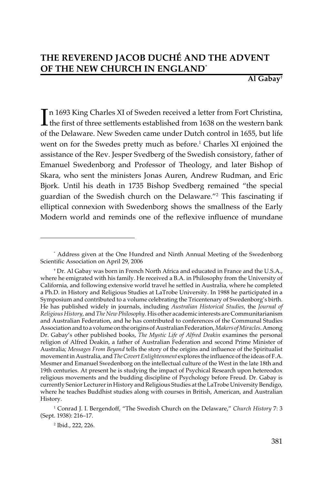**Al Gabay**†

In 1693 King Charles XI of Sweden received a letter from Fort Christina,<br>the first of three settlements established from 1638 on the western bank the first of three settlements established from 1638 on the western bank of the Delaware. New Sweden came under Dutch control in 1655, but life went on for the Swedes pretty much as before.<sup>1</sup> Charles XI enjoined the assistance of the Rev. Jesper Svedberg of the Swedish consistory, father of Emanuel Swedenborg and Professor of Theology, and later Bishop of Skara, who sent the ministers Jonas Auren, Andrew Rudman, and Eric Bjork. Until his death in 1735 Bishop Svedberg remained "the special guardian of the Swedish church on the Delaware."2 This fascinating if elliptical connexion with Swedenborg shows the smallness of the Early Modern world and reminds one of the reflexive influence of mundane

<sup>\*</sup> Address given at the One Hundred and Ninth Annual Meeting of the Swedenborg Scientific Association on April 29, 2006

<sup>†</sup> Dr. Al Gabay was born in French North Africa and educated in France and the U.S.A., where he emigrated with his family. He received a B.A. in Philosophy from the University of California, and following extensive world travel he settled in Australia, where he completed a Ph.D. in History and Religious Studies at LaTrobe University. In 1988 he participated in a Symposium and contributed to a volume celebrating the Tricentenary of Swedenborg's birth. He has published widely in journals, including *Australian Historical Studies*, the *Journal of Religious History,* and *The New Philosophy*. His other academic interests are Communitarianism and Australian Federation, and he has contributed to conferences of the Communal Studies Association and to a volume on the origins of Australian Federation, *Makers of Miracles*. Among Dr. Gabay's other published books, *The Mystic Life of Alfred Deakin* examines the personal religion of Alfred Deakin, a father of Australian Federation and second Prime Minister of Australia*; Messages From Beyond* tells the story of the origins and influence of the Spiritualist movement in Australia, and *The Covert Enlightenment* explores the influence of the ideas of F.A. Mesmer and Emanuel Swedenborg on the intellectual culture of the West in the late 18th and 19th centuries. At present he is studying the impact of Psychical Research upon hetereodox religious movements and the budding discipline of Psychology before Freud. Dr. Gabay is currently Senior Lecturer in History and Religious Studies at the LaTrobe University Bendigo, where he teaches Buddhist studies along with courses in British, American, and Australian History.

<sup>1</sup> Conrad J. I. Bergendoff, "The Swedish Church on the Delaware," *Church History* 7: 3 (Sept. 1938): 216–17.

<sup>2</sup> Ibid., 222, 226.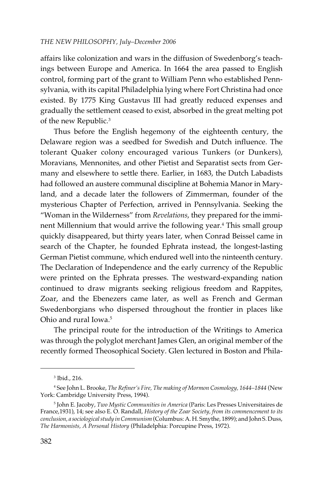affairs like colonization and wars in the diffusion of Swedenborg's teachings between Europe and America. In 1664 the area passed to English control, forming part of the grant to William Penn who established Pennsylvania, with its capital Philadelphia lying where Fort Christina had once existed. By 1775 King Gustavus III had greatly reduced expenses and gradually the settlement ceased to exist, absorbed in the great melting pot of the new Republic.<sup>3</sup>

Thus before the English hegemony of the eighteenth century, the Delaware region was a seedbed for Swedish and Dutch influence. The tolerant Quaker colony encouraged various Tunkers (or Dunkers), Moravians, Mennonites, and other Pietist and Separatist sects from Germany and elsewhere to settle there. Earlier, in 1683, the Dutch Labadists had followed an austere communal discipline at Bohemia Manor in Maryland, and a decade later the followers of Zimmerman, founder of the mysterious Chapter of Perfection, arrived in Pennsylvania. Seeking the "Woman in the Wilderness" from *Revelations*, they prepared for the imminent Millennium that would arrive the following year.<sup>4</sup> This small group quickly disappeared, but thirty years later, when Conrad Beissel came in search of the Chapter, he founded Ephrata instead, the longest-lasting German Pietist commune, which endured well into the ninteenth century. The Declaration of Independence and the early currency of the Republic were printed on the Ephrata presses. The westward-expanding nation continued to draw migrants seeking religious freedom and Rappites, Zoar, and the Ebenezers came later, as well as French and German Swedenborgians who dispersed throughout the frontier in places like Ohio and rural Iowa.<sup>5</sup>

The principal route for the introduction of the Writings to America was through the polyglot merchant James Glen, an original member of the recently formed Theosophical Society. Glen lectured in Boston and Phila-

<sup>3</sup> Ibid., 216.

<sup>4</sup> See John L. Brooke, *The Refiner's Fire, The making of Mormon Cosmology, 1644–1844* (New York: Cambridge University Press, 1994).

<sup>5</sup> John E. Jacoby, *Two Mystic Communities in America* (Paris: Les Presses Universitaires de France,1931), 14; see also E. O. Randall, *History of the Zoar Society, from its commencement to its conclusion, a sociological study in Communism* (Columbus: A. H. Smythe, 1899); and John S. Duss, *The Harmonists, A Personal History* (Philadelphia: Porcupine Press, 1972).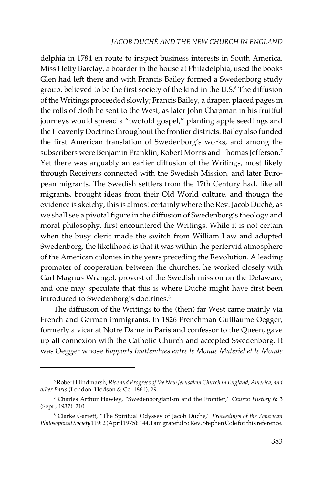delphia in 1784 en route to inspect business interests in South America. Miss Hetty Barclay, a boarder in the house at Philadelphia, used the books Glen had left there and with Francis Bailey formed a Swedenborg study group, believed to be the first society of the kind in the U.S.6 The diffusion of the Writings proceeded slowly; Francis Bailey, a draper, placed pages in the rolls of cloth he sent to the West, as later John Chapman in his fruitful journeys would spread a "twofold gospel," planting apple seedlings and the Heavenly Doctrine throughout the frontier districts. Bailey also funded the first American translation of Swedenborg's works, and among the subscribers were Benjamin Franklin, Robert Morris and Thomas Jefferson.7 Yet there was arguably an earlier diffusion of the Writings, most likely through Receivers connected with the Swedish Mission, and later European migrants. The Swedish settlers from the 17th Century had, like all migrants, brought ideas from their Old World culture, and though the evidence is sketchy, this is almost certainly where the Rev. Jacob Duché, as we shall see a pivotal figure in the diffusion of Swedenborg's theology and moral philosophy, first encountered the Writings. While it is not certain when the busy cleric made the switch from William Law and adopted Swedenborg, the likelihood is that it was within the perfervid atmosphere of the American colonies in the years preceding the Revolution. A leading promoter of cooperation between the churches, he worked closely with Carl Magnus Wrangel, provost of the Swedish mission on the Delaware, and one may speculate that this is where Duché might have first been introduced to Swedenborg's doctrines.<sup>8</sup>

The diffusion of the Writings to the (then) far West came mainly via French and German immigrants. In 1826 Frenchman Guillaume Oegger, formerly a vicar at Notre Dame in Paris and confessor to the Queen, gave up all connexion with the Catholic Church and accepted Swedenborg. It was Oegger whose *Rapports Inattendues entre le Monde Materiel et le Monde*

<sup>6</sup> Robert Hindmarsh, *Rise and Progress of the New Jerusalem Church in England, America, and other Parts* (London: Hodson & Co. 1861), 29.

<sup>7</sup> Charles Arthur Hawley, "Swedenborgianism and the Frontier," *Church History* 6: 3 (Sept., 1937): 210.

<sup>8</sup> Clarke Garrett, "The Spiritual Odyssey of Jacob Duche," *Proceedings of the American Philosophical Society* 119: 2 (April 1975): 144. I am grateful to Rev. Stephen Cole for this reference.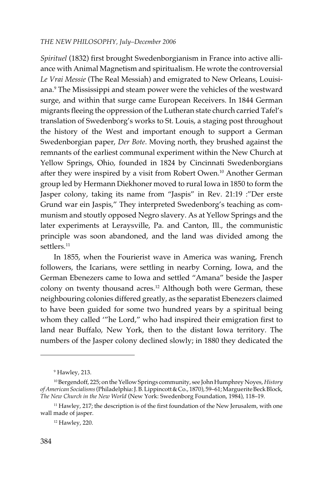*Spirituel* (1832) first brought Swedenborgianism in France into active alliance with Animal Magnetism and spiritualism. He wrote the controversial *Le Vrai Messie* (The Real Messiah) and emigrated to New Orleans, Louisiana.<sup>9</sup> The Mississippi and steam power were the vehicles of the westward surge, and within that surge came European Receivers. In 1844 German migrants fleeing the oppression of the Lutheran state church carried Tafel's translation of Swedenborg's works to St. Louis, a staging post throughout the history of the West and important enough to support a German Swedenborgian paper, *Der Bote*. Moving north, they brushed against the remnants of the earliest communal experiment within the New Church at Yellow Springs, Ohio, founded in 1824 by Cincinnati Swedenborgians after they were inspired by a visit from Robert Owen.<sup>10</sup> Another German group led by Hermann Diekhoner moved to rural Iowa in 1850 to form the Jasper colony, taking its name from "Jaspis" in Rev. 21:19 :"Der erste Grund war ein Jaspis," They interpreted Swedenborg's teaching as communism and stoutly opposed Negro slavery. As at Yellow Springs and the later experiments at Leraysville, Pa. and Canton, Ill., the communistic principle was soon abandoned, and the land was divided among the settlers*.* 11

In 1855, when the Fourierist wave in America was waning, French followers, the Icarians, were settling in nearby Corning, Iowa, and the German Ebenezers came to Iowa and settled "Amana" beside the Jasper colony on twenty thousand acres.<sup>12</sup> Although both were German, these neighbouring colonies differed greatly, as the separatist Ebenezers claimed to have been guided for some two hundred years by a spiritual being whom they called '"he Lord," who had inspired their emigration first to land near Buffalo, New York, then to the distant Iowa territory. The numbers of the Jasper colony declined slowly; in 1880 they dedicated the

<sup>9</sup> Hawley, 213.

<sup>10</sup> Bergendoff, 225; on the Yellow Springs community, see John Humphrey Noyes, *History of American Socialisms* (Philadelphia: J. B. Lippincott & Co., 1870), 59–61; Marguerite Beck Block, *The New Church in the New World* (New York: Swedenborg Foundation, 1984), 118–19.

<sup>&</sup>lt;sup>11</sup> Hawley, 217; the description is of the first foundation of the New Jerusalem, with one wall made of jasper.

<sup>12</sup> Hawley, 220.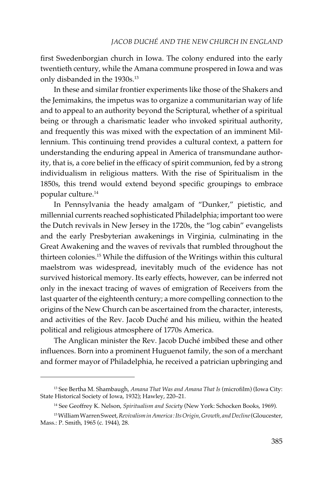first Swedenborgian church in Iowa. The colony endured into the early twentieth century, while the Amana commune prospered in Iowa and was only disbanded in the 1930s.<sup>13</sup>

In these and similar frontier experiments like those of the Shakers and the Jemimakins, the impetus was to organize a communitarian way of life and to appeal to an authority beyond the Scriptural, whether of a spiritual being or through a charismatic leader who invoked spiritual authority, and frequently this was mixed with the expectation of an imminent Millennium. This continuing trend provides a cultural context, a pattern for understanding the enduring appeal in America of transmundane authority, that is, a core belief in the efficacy of spirit communion, fed by a strong individualism in religious matters. With the rise of Spiritualism in the 1850s, this trend would extend beyond specific groupings to embrace popular culture.14

In Pennsylvania the heady amalgam of "Dunker," pietistic, and millennial currents reached sophisticated Philadelphia; important too were the Dutch revivals in New Jersey in the 1720s, the "log cabin" evangelists and the early Presbyterian awakenings in Virginia, culminating in the Great Awakening and the waves of revivals that rumbled throughout the thirteen colonies.15 While the diffusion of the Writings within this cultural maelstrom was widespread, inevitably much of the evidence has not survived historical memory. Its early effects, however, can be inferred not only in the inexact tracing of waves of emigration of Receivers from the last quarter of the eighteenth century; a more compelling connection to the origins of the New Church can be ascertained from the character, interests, and activities of the Rev. Jacob Duché and his milieu, within the heated political and religious atmosphere of 1770s America.

The Anglican minister the Rev. Jacob Duché imbibed these and other influences. Born into a prominent Huguenot family, the son of a merchant and former mayor of Philadelphia, he received a patrician upbringing and

<sup>13</sup> See Bertha M. Shambaugh, *Amana That Was and Amana That Is* (microfilm) (Iowa City: State Historical Society of Iowa, 1932); Hawley, 220–21.

<sup>14</sup> See Geoffrey K. Nelson, *Spiritualism and Society* (New York: Schocken Books, 1969).

<sup>15</sup> William Warren Sweet, *Revivalism in America : Its Origin, Growth, and Decline* (Gloucester, Mass.: P. Smith, 1965 (c. 1944), 28.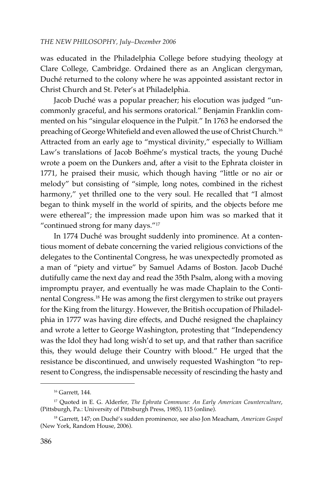was educated in the Philadelphia College before studying theology at Clare College, Cambridge. Ordained there as an Anglican clergyman, Duché returned to the colony where he was appointed assistant rector in Christ Church and St. Peter's at Philadelphia.

Jacob Duché was a popular preacher; his elocution was judged "uncommonly graceful, and his sermons oratorical." Benjamin Franklin commented on his "singular eloquence in the Pulpit." In 1763 he endorsed the preaching of George Whitefield and even allowed the use of Christ Church.16 Attracted from an early age to "mystical divinity," especially to William Law's translations of Jacob Boëhme's mystical tracts, the young Duché wrote a poem on the Dunkers and, after a visit to the Ephrata cloister in 1771, he praised their music, which though having "little or no air or melody" but consisting of "simple, long notes, combined in the richest harmony," yet thrilled one to the very soul. He recalled that "I almost began to think myself in the world of spirits, and the objects before me were ethereal"; the impression made upon him was so marked that it "continued strong for many days."17

In 1774 Duché was brought suddenly into prominence. At a contentious moment of debate concerning the varied religious convictions of the delegates to the Continental Congress, he was unexpectedly promoted as a man of "piety and virtue" by Samuel Adams of Boston. Jacob Duché dutifully came the next day and read the 35th Psalm, along with a moving impromptu prayer, and eventually he was made Chaplain to the Continental Congress.18 He was among the first clergymen to strike out prayers for the King from the liturgy. However, the British occupation of Philadelphia in 1777 was having dire effects, and Duché resigned the chaplaincy and wrote a letter to George Washington, protesting that "Independency was the Idol they had long wish'd to set up, and that rather than sacrifice this, they would deluge their Country with blood." He urged that the resistance be discontinued, and unwisely requested Washington "to represent to Congress, the indispensable necessity of rescinding the hasty and

<sup>16</sup> Garrett, 144.

<sup>17</sup> Quoted in E. G. Alderfer, *The Ephrata Commune: An Early American Counterculture*, (Pittsburgh, Pa.: University of Pittsburgh Press, 1985), 115 (online).

<sup>18</sup> Garrett, 147; on Duché's sudden prominence, see also Jon Meacham, *American Gospel* (New York, Random House, 2006).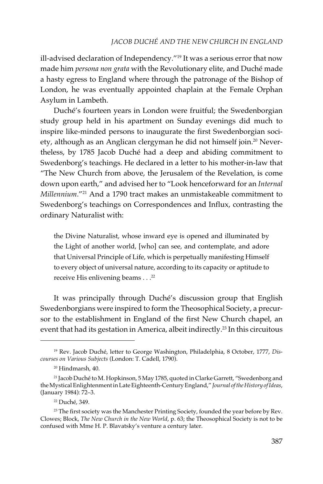ill-advised declaration of Independency."<sup>19</sup> It was a serious error that now made him *persona non grata* with the Revolutionary elite, and Duché made a hasty egress to England where through the patronage of the Bishop of London, he was eventually appointed chaplain at the Female Orphan Asylum in Lambeth.

Duché's fourteen years in London were fruitful; the Swedenborgian study group held in his apartment on Sunday evenings did much to inspire like-minded persons to inaugurate the first Swedenborgian society, although as an Anglican clergyman he did not himself join.<sup>20</sup> Nevertheless, by 1785 Jacob Duché had a deep and abiding commitment to Swedenborg's teachings. He declared in a letter to his mother-in-law that "The New Church from above, the Jerusalem of the Revelation, is come down upon earth," and advised her to "Look henceforward for an *Internal Millennium*."21 And a 1790 tract makes an unmistakeable commitment to Swedenborg's teachings on Correspondences and Influx, contrasting the ordinary Naturalist with:

the Divine Naturalist, whose inward eye is opened and illuminated by the Light of another world, [who] can see, and contemplate, and adore that Universal Principle of Life, which is perpetually manifesting Himself to every object of universal nature, according to its capacity or aptitude to receive His enlivening beams . . .<sup>22</sup>

It was principally through Duché's discussion group that English Swedenborgians were inspired to form the Theosophical Society, a precursor to the establishment in England of the first New Church chapel, an event that had its gestation in America, albeit indirectly.<sup>23</sup> In this circuitous

<sup>19</sup> Rev. Jacob Duché, letter to George Washington, Philadelphia, 8 October, 1777, *Discourses on Various Subjects* (London: T. Cadell, 1790).

<sup>20</sup> Hindmarsh, 40.

<sup>21</sup> Jacob Duché to M. Hopkinson, 5 May 1785, quoted in Clarke Garrett, "Swedenborg and the Mystical Enlightenment in Late Eighteenth-Century England," *Journal of the History of Ideas*, (January 1984): 72–3.

<sup>22</sup> Duché, 349.

 $23$  The first society was the Manchester Printing Society, founded the year before by Rev. Clowes; Block, *The New Church in the New World*, p. 63; the Theosophical Society is not to be confused with Mme H. P. Blavatsky's venture a century later.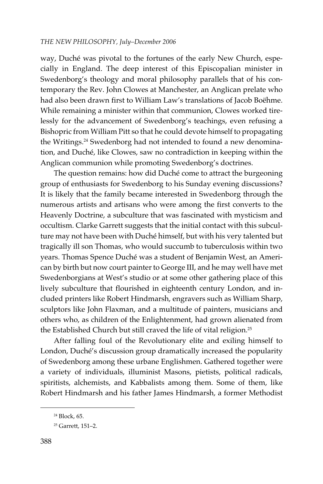way, Duché was pivotal to the fortunes of the early New Church, especially in England. The deep interest of this Episcopalian minister in Swedenborg's theology and moral philosophy parallels that of his contemporary the Rev. John Clowes at Manchester, an Anglican prelate who had also been drawn first to William Law's translations of Jacob Boëhme. While remaining a minister within that communion, Clowes worked tirelessly for the advancement of Swedenborg's teachings, even refusing a Bishopric from William Pitt so that he could devote himself to propagating the Writings.<sup>24</sup> Swedenborg had not intended to found a new denomination, and Duché, like Clowes, saw no contradiction in keeping within the Anglican communion while promoting Swedenborg's doctrines.

The question remains: how did Duché come to attract the burgeoning group of enthusiasts for Swedenborg to his Sunday evening discussions? It is likely that the family became interested in Swedenborg through the numerous artists and artisans who were among the first converts to the Heavenly Doctrine, a subculture that was fascinated with mysticism and occultism. Clarke Garrett suggests that the initial contact with this subculture may not have been with Duché himself, but with his very talented but tragically ill son Thomas, who would succumb to tuberculosis within two years. Thomas Spence Duché was a student of Benjamin West, an American by birth but now court painter to George III, and he may well have met Swedenborgians at West's studio or at some other gathering place of this lively subculture that flourished in eighteenth century London, and included printers like Robert Hindmarsh, engravers such as William Sharp, sculptors like John Flaxman, and a multitude of painters, musicians and others who, as children of the Enlightenment, had grown alienated from the Established Church but still craved the life of vital religion.<sup>25</sup>

After falling foul of the Revolutionary elite and exiling himself to London, Duché's discussion group dramatically increased the popularity of Swedenborg among these urbane Englishmen. Gathered together were a variety of individuals, illuminist Masons, pietists, political radicals, spiritists, alchemists, and Kabbalists among them. Some of them, like Robert Hindmarsh and his father James Hindmarsh, a former Methodist

<sup>24</sup> Block, 65.

<sup>25</sup> Garrett, 151–2.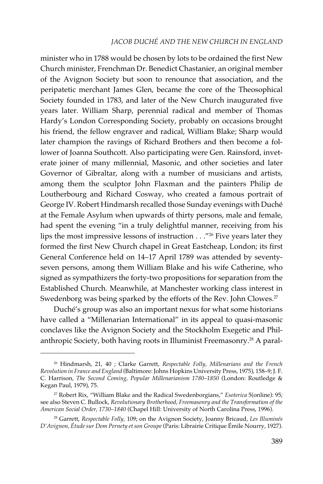minister who in 1788 would be chosen by lots to be ordained the first New Church minister, Frenchman Dr. Benedict Chastanier, an original member of the Avignon Society but soon to renounce that association, and the peripatetic merchant James Glen, became the core of the Theosophical Society founded in 1783, and later of the New Church inaugurated five years later. William Sharp, perennial radical and member of Thomas Hardy's London Corresponding Society, probably on occasions brought his friend, the fellow engraver and radical, William Blake; Sharp would later champion the ravings of Richard Brothers and then become a follower of Joanna Southcott. Also participating were Gen. Rainsford, inveterate joiner of many millennial, Masonic, and other societies and later Governor of Gibraltar, along with a number of musicians and artists, among them the sculptor John Flaxman and the painters Philip de Loutherbourg and Richard Cosway, who created a famous portrait of George IV. Robert Hindmarsh recalled those Sunday evenings with Duché at the Female Asylum when upwards of thirty persons, male and female, had spent the evening "in a truly delightful manner, receiving from his lips the most impressive lessons of instruction . . ."26 Five years later they formed the first New Church chapel in Great Eastcheap, London; its first General Conference held on 14–17 April 1789 was attended by seventyseven persons, among them William Blake and his wife Catherine, who signed as sympathizers the forty-two propositions for separation from the Established Church. Meanwhile, at Manchester working class interest in Swedenborg was being sparked by the efforts of the Rev. John Clowes.<sup>27</sup>

Duché's group was also an important nexus for what some historians have called a "Millenarian International" in its appeal to quasi-masonic conclaves like the Avignon Society and the Stockholm Exegetic and Philanthropic Society, both having roots in Illuminist Freemasonry.28 A paral-

<sup>26</sup> Hindmarsh, 21, 40 ; Clarke Garrett, *Respectable Folly, Millenarians and the French Revolution in France and England* (Baltimore: Johns Hopkins University Press, 1975), 158–9; J. F. C. Harrison, *The Second Coming, Popular Millenarianism 1780–1850* (London: Routledge & Kegan Paul, 1979), 75.

<sup>27</sup> Robert Rix, "William Blake and the Radical Swedenborgians," *Esoterica* 5(online): 95; see also Steven C. Bullock, *Revolutionary Brotherhood, Freemasonry and the Transformation of the American Social Order, 1730–1840* (Chapel Hill: University of North Carolina Press, 1996).

<sup>28</sup> Garrett, *Respectable Folly,* 109; on the Avignon Society, Joanny Bricaud, *Les Illuminés D'Avignon, Étude sur Dom Pernety et son Groupe* (Paris: Librairie Critique Émile Nourry, 1927).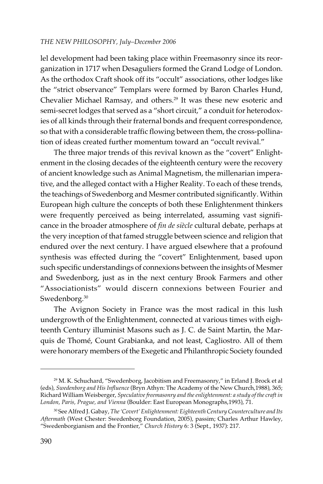lel development had been taking place within Freemasonry since its reorganization in 1717 when Desaguliers formed the Grand Lodge of London. As the orthodox Craft shook off its "occult" associations, other lodges like the "strict observance" Templars were formed by Baron Charles Hund, Chevalier Michael Ramsay, and others.<sup>29</sup> It was these new esoteric and semi-secret lodges that served as a "short circuit," a conduit for heterodoxies of all kinds through their fraternal bonds and frequent correspondence, so that with a considerable traffic flowing between them, the cross-pollination of ideas created further momentum toward an "occult revival."

The three major trends of this revival known as the "covert" Enlightenment in the closing decades of the eighteenth century were the recovery of ancient knowledge such as Animal Magnetism, the millenarian imperative, and the alleged contact with a Higher Reality. To each of these trends, the teachings of Swedenborg and Mesmer contributed significantly. Within European high culture the concepts of both these Enlightenment thinkers were frequently perceived as being interrelated, assuming vast significance in the broader atmosphere of *fin de siècle* cultural debate, perhaps at the very inception of that famed struggle between science and religion that endured over the next century. I have argued elsewhere that a profound synthesis was effected during the "covert" Enlightenment, based upon such specific understandings of connexions between the insights of Mesmer and Swedenborg, just as in the next century Brook Farmers and other "Associationists" would discern connexions between Fourier and Swedenborg.<sup>30</sup>

The Avignon Society in France was the most radical in this lush undergrowth of the Enlightenment, connected at various times with eighteenth Century illuminist Masons such as J. C. de Saint Martin, the Marquis de Thomé, Count Grabianka, and not least, Cagliostro. All of them were honorary members of the Exegetic and Philanthropic Society founded

<sup>&</sup>lt;sup>29</sup> M. K. Schuchard, "Swedenborg, Jacobitism and Freemasonry," in Erland J. Brock et al (eds), *Swedenborg and His Influence* (Bryn Athyn: The Academy of the New Church,1988), 365; Richard William Weisberger, *Speculative freemasonry and the enlightenment: a study of the craft in London, Paris, Prague, and Vienna* (Boulder: East European Monographs,1993), 71.

<sup>30</sup> See Alfred J. Gabay, *The 'Covert' Enlightenment: Eighteenth Century Counterculture and Its Aftermath* (West Chester: Swedenborg Foundation, 2005), passim; Charles Arthur Hawley, "Swedenborgianism and the Frontier," *Church History* 6: 3 (Sept., 1937): 217.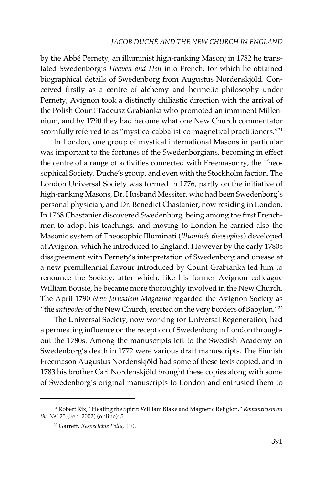by the Abbé Pernety, an illuminist high-ranking Mason; in 1782 he translated Swedenborg's *Heaven and Hell* into French, for which he obtained biographical details of Swedenborg from Augustus Nordenskjöld. Conceived firstly as a centre of alchemy and hermetic philosophy under Pernety, Avignon took a distinctly chiliastic direction with the arrival of the Polish Count Tadeusz Grabianka who promoted an imminent Millennium, and by 1790 they had become what one New Church commentator scornfully referred to as "mystico-cabbalistico-magnetical practitioners."<sup>31</sup>

In London, one group of mystical international Masons in particular was important to the fortunes of the Swedenborgians, becoming in effect the centre of a range of activities connected with Freemasonry, the Theosophical Society, Duché's group, and even with the Stockholm faction. The London Universal Society was formed in 1776, partly on the initiative of high-ranking Masons, Dr. Husband Messiter, who had been Swedenborg's personal physician, and Dr. Benedict Chastanier, now residing in London. In 1768 Chastanier discovered Swedenborg, being among the first Frenchmen to adopt his teachings, and moving to London he carried also the Masonic system of Theosophic Illuminati (*Illuminés theosophes*) developed at Avignon, which he introduced to England. However by the early 1780s disagreement with Pernety's interpretation of Swedenborg and unease at a new premillennial flavour introduced by Count Grabianka led him to renounce the Society, after which, like his former Avignon colleague William Bousie, he became more thoroughly involved in the New Church. The April 1790 *New Jerusalem Magazine* regarded the Avignon Society as "the *antipodes* of the New Church, erected on the very borders of Babylon."32

The Universal Society, now working for Universal Regeneration, had a permeating influence on the reception of Swedenborg in London throughout the 1780s. Among the manuscripts left to the Swedish Academy on Swedenborg's death in 1772 were various draft manuscripts. The Finnish Freemason Augustus Nordenskjöld had some of these texts copied, and in 1783 his brother Carl Nordenskjöld brought these copies along with some of Swedenborg's original manuscripts to London and entrusted them to

<sup>31</sup> Robert Rix, "Healing the Spirit: William Blake and Magnetic Religion," *Romanticism on the Net* 25 (Feb. 2002) (online): 5.

<sup>32</sup> Garrett, *Respectable Folly,* 110.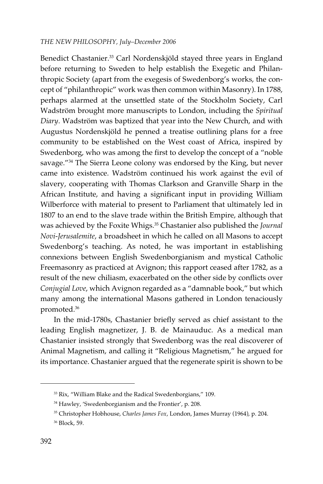Benedict Chastanier.<sup>33</sup> Carl Nordenskjöld stayed three years in England before returning to Sweden to help establish the Exegetic and Philanthropic Society (apart from the exegesis of Swedenborg's works, the concept of "philanthropic" work was then common within Masonry). In 1788, perhaps alarmed at the unsettled state of the Stockholm Society, Carl Wadström brought more manuscripts to London, including the *Spiritual Diary*. Wadström was baptized that year into the New Church, and with Augustus Nordenskjöld he penned a treatise outlining plans for a free community to be established on the West coast of Africa, inspired by Swedenborg, who was among the first to develop the concept of a "noble savage."<sup>34</sup> The Sierra Leone colony was endorsed by the King, but never came into existence. Wadström continued his work against the evil of slavery, cooperating with Thomas Clarkson and Granville Sharp in the African Institute, and having a significant input in providing William Wilberforce with material to present to Parliament that ultimately led in 1807 to an end to the slave trade within the British Empire, although that was achieved by the Foxite Whigs.35 Chastanier also published the *Journal Novi-Jerusalemite*, a broadsheet in which he called on all Masons to accept Swedenborg's teaching. As noted, he was important in establishing connexions between English Swedenborgianism and mystical Catholic Freemasonry as practiced at Avignon; this rapport ceased after 1782, as a result of the new chiliasm, exacerbated on the other side by conflicts over *Conjugial Love*, which Avignon regarded as a "damnable book," but which many among the international Masons gathered in London tenaciously promoted.36

In the mid-1780s, Chastanier briefly served as chief assistant to the leading English magnetizer, J. B. de Mainauduc. As a medical man Chastanier insisted strongly that Swedenborg was the real discoverer of Animal Magnetism, and calling it "Religious Magnetism," he argued for its importance. Chastanier argued that the regenerate spirit is shown to be

<sup>33</sup> Rix, "William Blake and the Radical Swedenborgians," 109.

<sup>&</sup>lt;sup>34</sup> Hawley, 'Swedenborgianism and the Frontier', p. 208.

<sup>35</sup> Christopher Hobhouse, *Charles James Fox*, London, James Murray (1964), p. 204.

<sup>36</sup> Block, 59.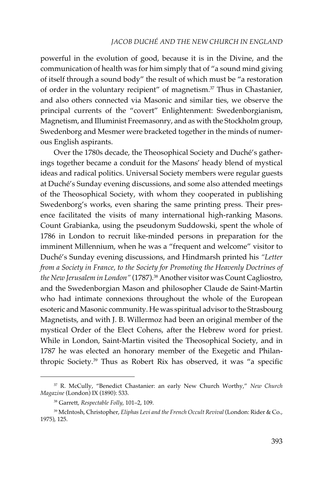powerful in the evolution of good, because it is in the Divine, and the communication of health was for him simply that of "a sound mind giving of itself through a sound body" the result of which must be "a restoration of order in the voluntary recipient" of magnetism.<sup>37</sup> Thus in Chastanier, and also others connected via Masonic and similar ties, we observe the principal currents of the "covert" Enlightenment: Swedenborgianism, Magnetism, and Illuminist Freemasonry, and as with the Stockholm group, Swedenborg and Mesmer were bracketed together in the minds of numerous English aspirants.

Over the 1780s decade, the Theosophical Society and Duché's gatherings together became a conduit for the Masons' heady blend of mystical ideas and radical politics. Universal Society members were regular guests at Duché's Sunday evening discussions, and some also attended meetings of the Theosophical Society, with whom they cooperated in publishing Swedenborg's works, even sharing the same printing press. Their presence facilitated the visits of many international high-ranking Masons. Count Grabianka, using the pseudonym Suddowski, spent the whole of 1786 in London to recruit like-minded persons in preparation for the imminent Millennium, when he was a "frequent and welcome" visitor to Duché's Sunday evening discussions, and Hindmarsh printed his *"Letter from a Society in France, to the Society for Promoting the Heavenly Doctrines of the New Jerusalem in London"* (1787).38 Another visitor was Count Cagliostro, and the Swedenborgian Mason and philosopher Claude de Saint-Martin who had intimate connexions throughout the whole of the European esoteric and Masonic community. He was spiritual advisor to the Strasbourg Magnetists, and with J. B. Willermoz had been an original member of the mystical Order of the Elect Cohens, after the Hebrew word for priest. While in London, Saint-Martin visited the Theosophical Society, and in 1787 he was elected an honorary member of the Exegetic and Philanthropic Society.39 Thus as Robert Rix has observed, it was "a specific

<sup>37</sup> R. McCully, "Benedict Chastanier: an early New Church Worthy," *New Church Magazine* (London) IX (1890): 533.

<sup>38</sup> Garrett, *Respectable Folly*, 101–2, 109.

<sup>39</sup> McIntosh, Christopher, *Eliphas Levi and the French Occult Revival* (London: Rider & Co., 1975), 125.